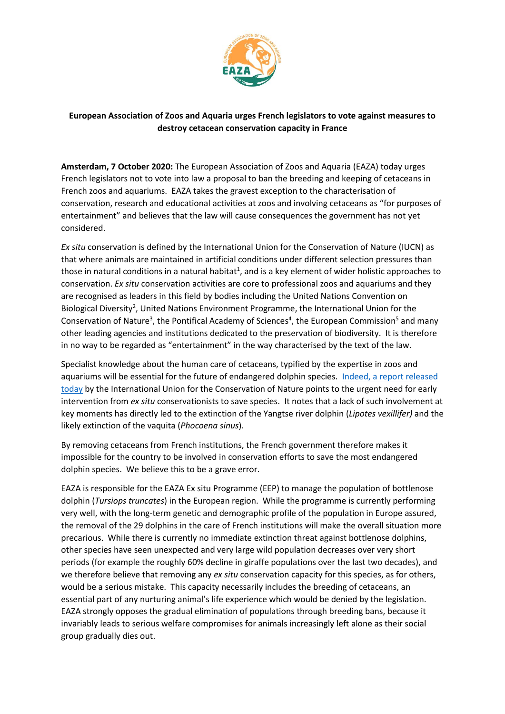

## **European Association of Zoos and Aquaria urges French legislators to vote against measures to destroy cetacean conservation capacity in France**

**Amsterdam, 7 October 2020:** The European Association of Zoos and Aquaria (EAZA) today urges French legislators not to vote into law a proposal to ban the breeding and keeping of cetaceans in French zoos and aquariums. EAZA takes the gravest exception to the characterisation of conservation, research and educational activities at zoos and involving cetaceans as "for purposes of entertainment" and believes that the law will cause consequences the government has not yet considered.

*Ex situ* conservation is defined by the International Union for the Conservation of Nature (IUCN) as that where animals are maintained in artificial conditions under different selection pressures than those in natural conditions in a natural habitat<sup>1</sup>, and is a key element of wider holistic approaches to conservation. *Ex situ* conservation activities are core to professional zoos and aquariums and they are recognised as leaders in this field by bodies including the United Nations Convention on Biological Diversity<sup>2</sup>, United Nations Environment Programme, the International Union for the Conservation of Nature<sup>3</sup>, the Pontifical Academy of Sciences<sup>4</sup>, the European Commission<sup>5</sup> and many other leading agencies and institutions dedicated to the preservation of biodiversity. It is therefore in no way to be regarded as "entertainment" in the way characterised by the text of the law.

Specialist knowledge about the human care of cetaceans, typified by the expertise in zoos and aquariums will be essential for the future of endangered dolphin species. Indeed, a report released [today](https://www.eaza.net/assets/Uploads/EAZA-Documents-Other/IUCN-ESOCC-publication-v07-FINAL-WEB.pdf) by the International Union for the Conservation of Nature points to the urgent need for early intervention from *ex situ* conservationists to save species. It notes that a lack of such involvement at key moments has directly led to the extinction of the Yangtse river dolphin (*Lipotes vexillifer)* and the likely extinction of the vaquita (*Phocoena sinus*).

By removing cetaceans from French institutions, the French government therefore makes it impossible for the country to be involved in conservation efforts to save the most endangered dolphin species. We believe this to be a grave error.

EAZA is responsible for the EAZA Ex situ Programme (EEP) to manage the population of bottlenose dolphin (*Tursiops truncates*) in the European region. While the programme is currently performing very well, with the long-term genetic and demographic profile of the population in Europe assured, the removal of the 29 dolphins in the care of French institutions will make the overall situation more precarious. While there is currently no immediate extinction threat against bottlenose dolphins, other species have seen unexpected and very large wild population decreases over very short periods (for example the roughly 60% decline in giraffe populations over the last two decades), and we therefore believe that removing any *ex situ* conservation capacity for this species, as for others, would be a serious mistake. This capacity necessarily includes the breeding of cetaceans, an essential part of any nurturing animal's life experience which would be denied by the legislation. EAZA strongly opposes the gradual elimination of populations through breeding bans, because it invariably leads to serious welfare compromises for animals increasingly left alone as their social group gradually dies out.